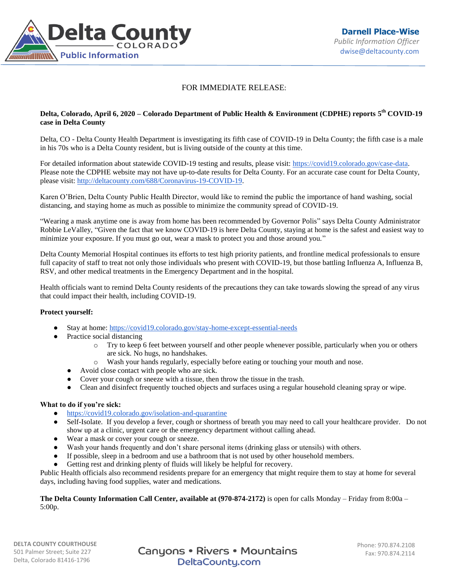

## FOR IMMEDIATE RELEASE:

## **Delta, Colorado, April 6, 2020 – Colorado Department of Public Health & Environment (CDPHE) reports 5 th COVID-19 case in Delta County**

Delta, CO - Delta County Health Department is investigating its fifth case of COVID-19 in Delta County; the fifth case is a male in his 70s who is a Delta County resident, but is living outside of the county at this time.

For detailed information about statewide COVID-19 testing and results, please visit: [https://covid19.colorado.gov/case-data.](https://covid19.colorado.gov/case-data) Please note the CDPHE website may not have up-to-date results for Delta County. For an accurate case count for Delta County, please visit: [http://deltacounty.com/688/Coronavirus-19-COVID-19.](http://deltacounty.com/688/Coronavirus-19-COVID-19)

Karen O'Brien, Delta County Public Health Director, would like to remind the public the importance of hand washing, social distancing, and staying home as much as possible to minimize the community spread of COVID-19.

"Wearing a mask anytime one is away from home has been recommended by Governor Polis" says Delta County Administrator Robbie LeValley, "Given the fact that we know COVID-19 is here Delta County, staying at home is the safest and easiest way to minimize your exposure. If you must go out, wear a mask to protect you and those around you."

Delta County Memorial Hospital continues its efforts to test high priority patients, and frontline medical professionals to ensure full capacity of staff to treat not only those individuals who present with COVID-19, but those battling Influenza A, Influenza B, RSV, and other medical treatments in the Emergency Department and in the hospital.

Health officials want to remind Delta County residents of the precautions they can take towards slowing the spread of any virus that could impact their health, including COVID-19.

## **Protect yourself:**

- Stay at home: <https://covid19.colorado.gov/stay-home-except-essential-needs>
- Practice social distancing
	- o Try to keep 6 feet between yourself and other people whenever possible, particularly when you or others are sick. No hugs, no handshakes.
	- o Wash your hands regularly, especially before eating or touching your mouth and nose.
	- Avoid close contact with people who are sick.
	- Cover your cough or sneeze with a tissue, then throw the tissue in the trash.
	- Clean and disinfect frequently touched objects and surfaces using a regular household cleaning spray or wipe.

## **What to do if you're sick:**

- <https://covid19.colorado.gov/isolation-and-quarantine>
- Self-Isolate. If you develop a fever, cough or shortness of breath you may need to call your healthcare provider. Do not show up at a clinic, urgent care or the emergency department without calling ahead.
- Wear a mask or cover your cough or sneeze.
- Wash your hands frequently and don't share personal items (drinking glass or utensils) with others.
- If possible, sleep in a bedroom and use a bathroom that is not used by other household members.
- Getting rest and drinking plenty of fluids will likely be helpful for recovery.

Public Health officials also recommend residents prepare for an emergency that might require them to stay at home for several days, including having food supplies, water and medications.

**The Delta County Information Call Center, available at (970-874-2172)** is open for calls Monday – Friday from 8:00a – 5:00p.